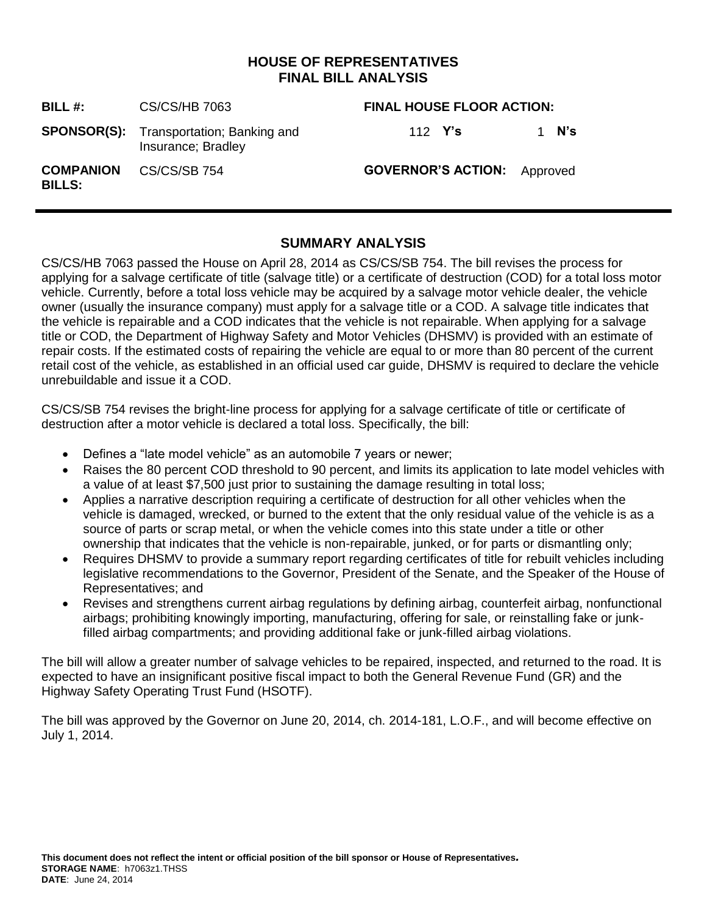# **HOUSE OF REPRESENTATIVES FINAL BILL ANALYSIS**

| BILL $#$ :                        | CS/CS/HB 7063                                                        | <b>FINAL HOUSE FLOOR ACTION:</b>   |       |
|-----------------------------------|----------------------------------------------------------------------|------------------------------------|-------|
|                                   | <b>SPONSOR(S):</b> Transportation; Banking and<br>Insurance; Bradley | 112 Y's                            | 1 N's |
| <b>COMPANION</b><br><b>BILLS:</b> | CS/CS/SB 754                                                         | <b>GOVERNOR'S ACTION:</b> Approved |       |

# **SUMMARY ANALYSIS**

CS/CS/HB 7063 passed the House on April 28, 2014 as CS/CS/SB 754. The bill revises the process for applying for a salvage certificate of title (salvage title) or a certificate of destruction (COD) for a total loss motor vehicle. Currently, before a total loss vehicle may be acquired by a salvage motor vehicle dealer, the vehicle owner (usually the insurance company) must apply for a salvage title or a COD. A salvage title indicates that the vehicle is repairable and a COD indicates that the vehicle is not repairable. When applying for a salvage title or COD, the Department of Highway Safety and Motor Vehicles (DHSMV) is provided with an estimate of repair costs. If the estimated costs of repairing the vehicle are equal to or more than 80 percent of the current retail cost of the vehicle, as established in an official used car guide, DHSMV is required to declare the vehicle unrebuildable and issue it a COD.

CS/CS/SB 754 revises the bright-line process for applying for a salvage certificate of title or certificate of destruction after a motor vehicle is declared a total loss. Specifically, the bill:

- Defines a "late model vehicle" as an automobile 7 years or newer;
- Raises the 80 percent COD threshold to 90 percent, and limits its application to late model vehicles with a value of at least \$7,500 just prior to sustaining the damage resulting in total loss;
- Applies a narrative description requiring a certificate of destruction for all other vehicles when the vehicle is damaged, wrecked, or burned to the extent that the only residual value of the vehicle is as a source of parts or scrap metal, or when the vehicle comes into this state under a title or other ownership that indicates that the vehicle is non-repairable, junked, or for parts or dismantling only;
- Requires DHSMV to provide a summary report regarding certificates of title for rebuilt vehicles including legislative recommendations to the Governor, President of the Senate, and the Speaker of the House of Representatives; and
- Revises and strengthens current airbag regulations by defining airbag, counterfeit airbag, nonfunctional airbags; prohibiting knowingly importing, manufacturing, offering for sale, or reinstalling fake or junkfilled airbag compartments; and providing additional fake or junk-filled airbag violations.

The bill will allow a greater number of salvage vehicles to be repaired, inspected, and returned to the road. It is expected to have an insignificant positive fiscal impact to both the General Revenue Fund (GR) and the Highway Safety Operating Trust Fund (HSOTF).

The bill was approved by the Governor on June 20, 2014, ch. 2014-181, L.O.F., and will become effective on July 1, 2014.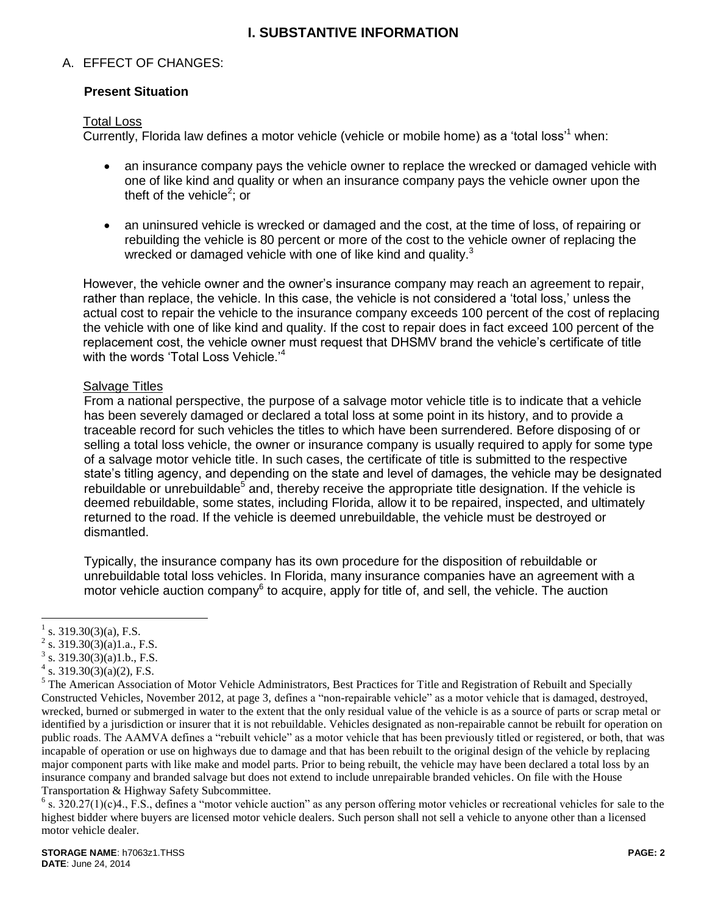# **I. SUBSTANTIVE INFORMATION**

## A. EFFECT OF CHANGES:

## **Present Situation**

#### Total Loss

Currently, Florida law defines a motor vehicle (vehicle or mobile home) as a 'total loss'<sup>1</sup> when:

- an insurance company pays the vehicle owner to replace the wrecked or damaged vehicle with one of like kind and quality or when an insurance company pays the vehicle owner upon the theft of the vehicle<sup>2</sup>; or
- an uninsured vehicle is wrecked or damaged and the cost, at the time of loss, of repairing or rebuilding the vehicle is 80 percent or more of the cost to the vehicle owner of replacing the wrecked or damaged vehicle with one of like kind and quality. $3$

However, the vehicle owner and the owner's insurance company may reach an agreement to repair, rather than replace, the vehicle. In this case, the vehicle is not considered a 'total loss,' unless the actual cost to repair the vehicle to the insurance company exceeds 100 percent of the cost of replacing the vehicle with one of like kind and quality. If the cost to repair does in fact exceed 100 percent of the replacement cost, the vehicle owner must request that DHSMV brand the vehicle's certificate of title with the words 'Total Loss Vehicle.'<sup>4</sup>

### **Salvage Titles**

From a national perspective, the purpose of a salvage motor vehicle title is to indicate that a vehicle has been severely damaged or declared a total loss at some point in its history, and to provide a traceable record for such vehicles the titles to which have been surrendered. Before disposing of or selling a total loss vehicle, the owner or insurance company is usually required to apply for some type of a salvage motor vehicle title. In such cases, the certificate of title is submitted to the respective state's titling agency, and depending on the state and level of damages, the vehicle may be designated rebuildable or unrebuildable<sup>5</sup> and, thereby receive the appropriate title designation. If the vehicle is deemed rebuildable, some states, including Florida, allow it to be repaired, inspected, and ultimately returned to the road. If the vehicle is deemed unrebuildable, the vehicle must be destroyed or dismantled.

Typically, the insurance company has its own procedure for the disposition of rebuildable or unrebuildable total loss vehicles. In Florida, many insurance companies have an agreement with a motor vehicle auction company $^6$  to acquire, apply for title of, and sell, the vehicle. The auction

 $\overline{a}$ 1 s. 319.30(3)(a), F.S.

<sup>2</sup> s. 319.30(3)(a)1.a., F.S.

 $3$  s. 319.30(3)(a)1.b., F.S.

 $4 \text{ s. } 319.30(3)(a)(2)$ , F.S.

<sup>&</sup>lt;sup>5</sup> The American Association of Motor Vehicle Administrators, Best Practices for Title and Registration of Rebuilt and Specially Constructed Vehicles, November 2012, at page 3, defines a "non-repairable vehicle" as a motor vehicle that is damaged, destroyed, wrecked, burned or submerged in water to the extent that the only residual value of the vehicle is as a source of parts or scrap metal or identified by a jurisdiction or insurer that it is not rebuildable. Vehicles designated as non-repairable cannot be rebuilt for operation on public roads. The AAMVA defines a "rebuilt vehicle" as a motor vehicle that has been previously titled or registered, or both, that was incapable of operation or use on highways due to damage and that has been rebuilt to the original design of the vehicle by replacing major component parts with like make and model parts. Prior to being rebuilt, the vehicle may have been declared a total loss by an insurance company and branded salvage but does not extend to include unrepairable branded vehicles. On file with the House Transportation & Highway Safety Subcommittee.

 $6$  s. 320.27(1)(c)4., F.S., defines a "motor vehicle auction" as any person offering motor vehicles or recreational vehicles for sale to the highest bidder where buyers are licensed motor vehicle dealers. Such person shall not sell a vehicle to anyone other than a licensed motor vehicle dealer.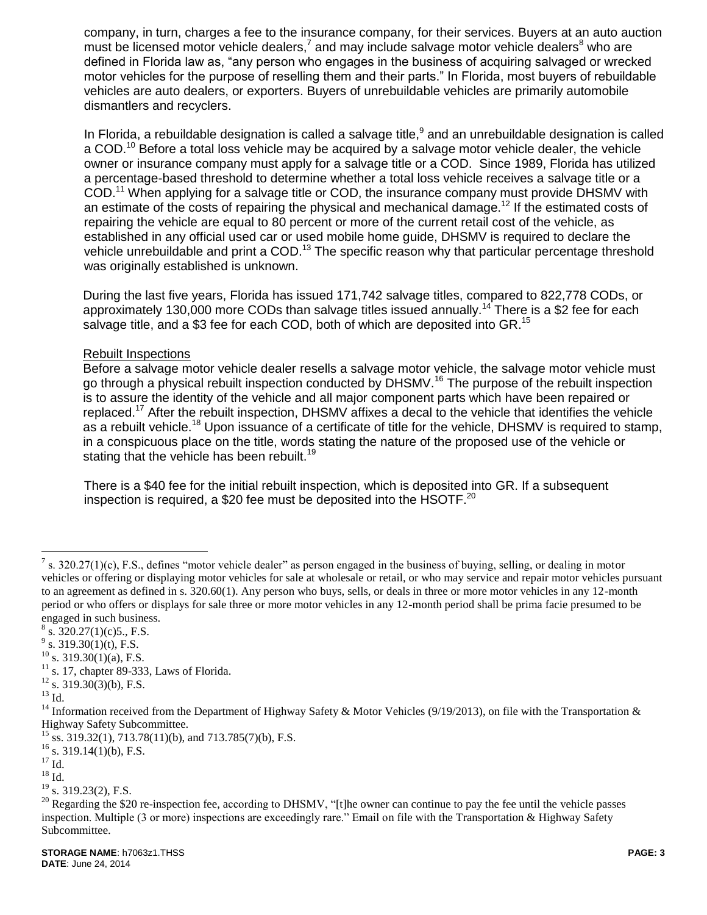company, in turn, charges a fee to the insurance company, for their services. Buyers at an auto auction must be licensed motor vehicle dealers,<sup>7</sup> and may include salvage motor vehicle dealers<sup>8</sup> who are defined in Florida law as, "any person who engages in the business of acquiring salvaged or wrecked motor vehicles for the purpose of reselling them and their parts." In Florida, most buyers of rebuildable vehicles are auto dealers, or exporters. Buyers of unrebuildable vehicles are primarily automobile dismantlers and recyclers.

In Florida, a rebuildable designation is called a salvage title,<sup>9</sup> and an unrebuildable designation is called a COD.<sup>10</sup> Before a total loss vehicle may be acquired by a salvage motor vehicle dealer, the vehicle owner or insurance company must apply for a salvage title or a COD. Since 1989, Florida has utilized a percentage-based threshold to determine whether a total loss vehicle receives a salvage title or a COD.<sup>11</sup> When applying for a salvage title or COD, the insurance company must provide DHSMV with an estimate of the costs of repairing the physical and mechanical damage.<sup>12</sup> If the estimated costs of repairing the vehicle are equal to 80 percent or more of the current retail cost of the vehicle, as established in any official used car or used mobile home guide, DHSMV is required to declare the vehicle unrebuildable and print a COD.<sup>13</sup> The specific reason why that particular percentage threshold was originally established is unknown.

During the last five years, Florida has issued 171,742 salvage titles, compared to 822,778 CODs, or approximately 130,000 more CODs than salvage titles issued annually.<sup>14</sup> There is a \$2 fee for each salvage title, and a \$3 fee for each COD, both of which are deposited into GR.<sup>15</sup>

### Rebuilt Inspections

Before a salvage motor vehicle dealer resells a salvage motor vehicle, the salvage motor vehicle must go through a physical rebuilt inspection conducted by DHSMV.<sup>16</sup> The purpose of the rebuilt inspection is to assure the identity of the vehicle and all major component parts which have been repaired or replaced.<sup>17</sup> After the rebuilt inspection, DHSMV affixes a decal to the vehicle that identifies the vehicle as a rebuilt vehicle.<sup>18</sup> Upon issuance of a certificate of title for the vehicle, DHSMV is required to stamp, in a conspicuous place on the title, words stating the nature of the proposed use of the vehicle or stating that the vehicle has been rebuilt.<sup>19</sup>

There is a \$40 fee for the initial rebuilt inspection, which is deposited into GR. If a subsequent inspection is required, a \$20 fee must be deposited into the HSOTF.<sup>20</sup>

 $11$  s. 17, chapter 89-333, Laws of Florida.

 $\overline{a}$ 

<sup>&</sup>lt;sup>7</sup> s. 320.27(1)(c), F.S., defines "motor vehicle dealer" as person engaged in the business of buying, selling, or dealing in motor vehicles or offering or displaying motor vehicles for sale at wholesale or retail, or who may service and repair motor vehicles pursuant to an agreement as defined in s. 320.60(1). Any person who buys, sells, or deals in three or more motor vehicles in any 12-month period or who offers or displays for sale three or more motor vehicles in any 12-month period shall be prima facie presumed to be engaged in such business.

 $8 \text{ s. } 320.27(1)(c)5., \text{ F.S.}$ 

 $9^9$  s. 319.30(1)(t), F.S.

 $10$  s. 319.30(1)(a), F.S.

 $12$  s. 319.30(3)(b), F.S.

 $^{13}$  Id.

<sup>&</sup>lt;sup>14</sup> Information received from the Department of Highway Safety & Motor Vehicles (9/19/2013), on file with the Transportation & Highway Safety Subcommittee.

 $^{15}$  ss. 319.32(1), 713.78(11)(b), and 713.785(7)(b), F.S.

 $16$  s. 319.14(1)(b), F.S.

 $17 \text{ Id.}$ 

 $18$  Id.

<sup>&</sup>lt;sup>19</sup> s. 319.23(2), F.S.

 $20$  Regarding the \$20 re-inspection fee, according to DHSMV, "[t]he owner can continue to pay the fee until the vehicle passes inspection. Multiple (3 or more) inspections are exceedingly rare." Email on file with the Transportation & Highway Safety Subcommittee.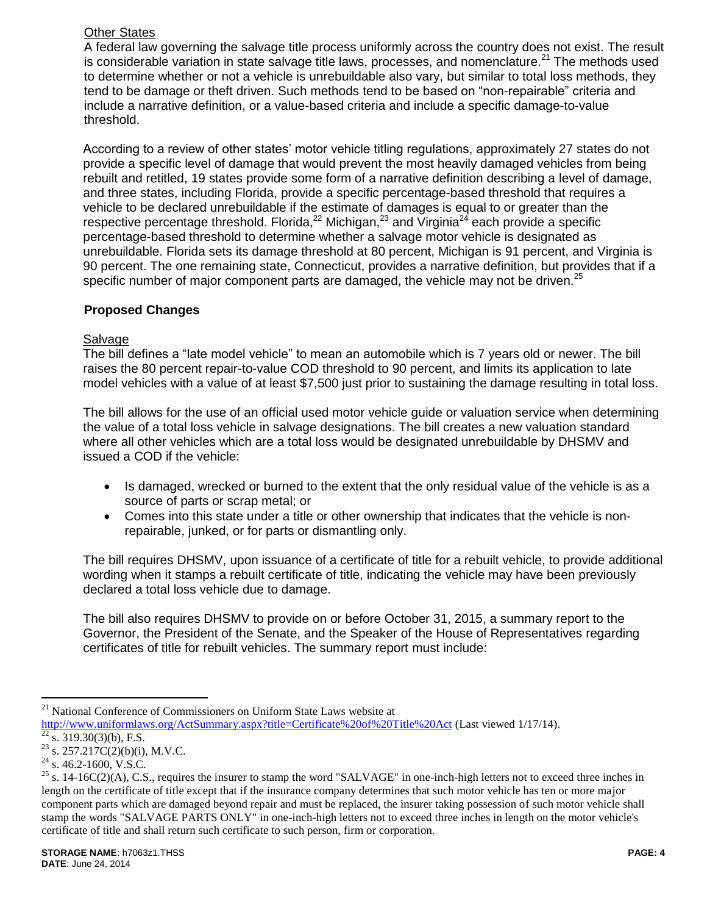# Other States

A federal law governing the salvage title process uniformly across the country does not exist. The result is considerable variation in state salvage title laws, processes, and nomenclature.<sup>21</sup> The methods used to determine whether or not a vehicle is unrebuildable also vary, but similar to total loss methods, they tend to be damage or theft driven. Such methods tend to be based on "non-repairable" criteria and include a narrative definition, or a value-based criteria and include a specific damage-to-value threshold.

According to a review of other states' motor vehicle titling regulations, approximately 27 states do not provide a specific level of damage that would prevent the most heavily damaged vehicles from being rebuilt and retitled, 19 states provide some form of a narrative definition describing a level of damage, and three states, including Florida, provide a specific percentage-based threshold that requires a vehicle to be declared unrebuildable if the estimate of damages is equal to or greater than the respective percentage threshold. Florida,<sup>22</sup> Michigan,<sup>23</sup> and Virginia<sup>24</sup> each provide a specific percentage-based threshold to determine whether a salvage motor vehicle is designated as unrebuildable. Florida sets its damage threshold at 80 percent, Michigan is 91 percent, and Virginia is 90 percent. The one remaining state, Connecticut, provides a narrative definition, but provides that if a specific number of major component parts are damaged, the vehicle may not be driven.<sup>25</sup>

## **Proposed Changes**

## **Salvage**

The bill defines a "late model vehicle" to mean an automobile which is 7 years old or newer. The bill raises the 80 percent repair-to-value COD threshold to 90 percent, and limits its application to late model vehicles with a value of at least \$7,500 just prior to sustaining the damage resulting in total loss.

The bill allows for the use of an official used motor vehicle guide or valuation service when determining the value of a total loss vehicle in salvage designations. The bill creates a new valuation standard where all other vehicles which are a total loss would be designated unrebuildable by DHSMV and issued a COD if the vehicle:

- Is damaged, wrecked or burned to the extent that the only residual value of the vehicle is as a source of parts or scrap metal; or
- Comes into this state under a title or other ownership that indicates that the vehicle is nonrepairable, junked, or for parts or dismantling only.

The bill requires DHSMV, upon issuance of a certificate of title for a rebuilt vehicle, to provide additional wording when it stamps a rebuilt certificate of title, indicating the vehicle may have been previously declared a total loss vehicle due to damage.

The bill also requires DHSMV to provide on or before October 31, 2015, a summary report to the Governor, the President of the Senate, and the Speaker of the House of Representatives regarding certificates of title for rebuilt vehicles. The summary report must include:

 $\overline{a}$ 

<sup>&</sup>lt;sup>21</sup> National Conference of Commissioners on Uniform State Laws website at

<http://www.uniformlaws.org/ActSummary.aspx?title=Certificate%20of%20Title%20Act> (Last viewed 1/17/14).

 $\frac{22}{\text{ s. 319.30}}$ (3)(b), F.S.

 $^{23}$  s. 257.217C(2)(b)(i), M.V.C.

 $24$  s. 46.2-1600, V.S.C.

 $25$  s. 14-16C(2)(A), C.S., requires the insurer to stamp the word "SALVAGE" in one-inch-high letters not to exceed three inches in length on the certificate of title except that if the insurance company determines that such motor vehicle has ten or more major component parts which are damaged beyond repair and must be replaced, the insurer taking possession of such motor vehicle shall stamp the words "SALVAGE PARTS ONLY" in one-inch-high letters not to exceed three inches in length on the motor vehicle's certificate of title and shall return such certificate to such person, firm or corporation.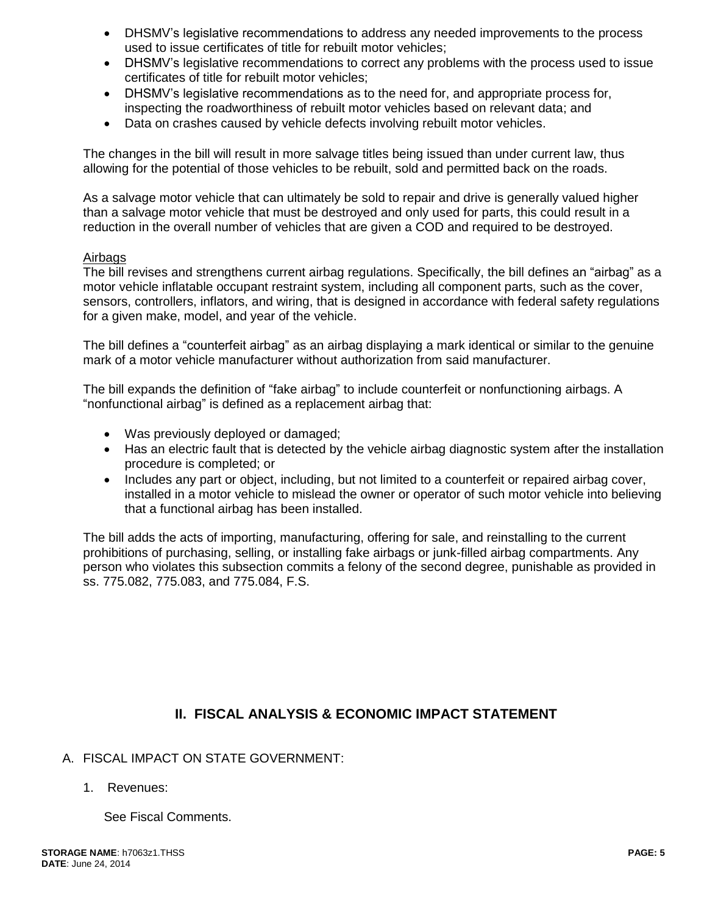- DHSMV's legislative recommendations to address any needed improvements to the process used to issue certificates of title for rebuilt motor vehicles;
- DHSMV's legislative recommendations to correct any problems with the process used to issue certificates of title for rebuilt motor vehicles;
- DHSMV's legislative recommendations as to the need for, and appropriate process for, inspecting the roadworthiness of rebuilt motor vehicles based on relevant data; and
- Data on crashes caused by vehicle defects involving rebuilt motor vehicles.

The changes in the bill will result in more salvage titles being issued than under current law, thus allowing for the potential of those vehicles to be rebuilt, sold and permitted back on the roads.

As a salvage motor vehicle that can ultimately be sold to repair and drive is generally valued higher than a salvage motor vehicle that must be destroyed and only used for parts, this could result in a reduction in the overall number of vehicles that are given a COD and required to be destroyed.

## Airbags

The bill revises and strengthens current airbag regulations. Specifically, the bill defines an "airbag" as a motor vehicle inflatable occupant restraint system, including all component parts, such as the cover, sensors, controllers, inflators, and wiring, that is designed in accordance with federal safety regulations for a given make, model, and year of the vehicle.

The bill defines a "counterfeit airbag" as an airbag displaying a mark identical or similar to the genuine mark of a motor vehicle manufacturer without authorization from said manufacturer.

The bill expands the definition of "fake airbag" to include counterfeit or nonfunctioning airbags. A "nonfunctional airbag" is defined as a replacement airbag that:

- Was previously deployed or damaged;
- Has an electric fault that is detected by the vehicle airbag diagnostic system after the installation procedure is completed; or
- Includes any part or object, including, but not limited to a counterfeit or repaired airbag cover, installed in a motor vehicle to mislead the owner or operator of such motor vehicle into believing that a functional airbag has been installed.

The bill adds the acts of importing, manufacturing, offering for sale, and reinstalling to the current prohibitions of purchasing, selling, or installing fake airbags or junk-filled airbag compartments. Any person who violates this subsection commits a felony of the second degree, punishable as provided in ss. 775.082, 775.083, and 775.084, F.S.

# **II. FISCAL ANALYSIS & ECONOMIC IMPACT STATEMENT**

- A. FISCAL IMPACT ON STATE GOVERNMENT:
	- 1. Revenues:

See Fiscal Comments.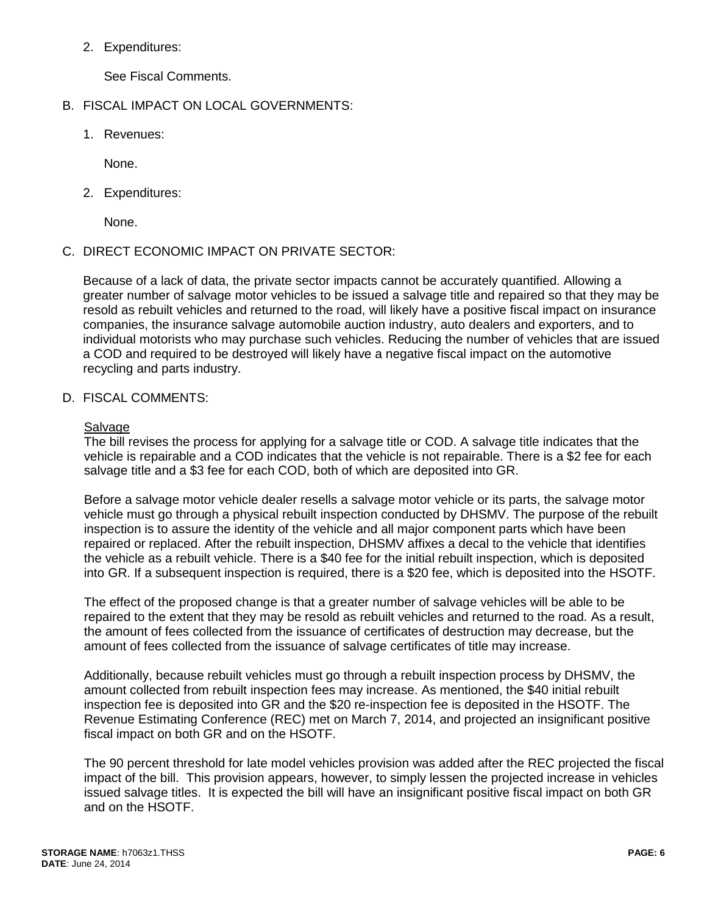2. Expenditures:

See Fiscal Comments.

- B. FISCAL IMPACT ON LOCAL GOVERNMENTS:
	- 1. Revenues:

None.

2. Expenditures:

None.

C. DIRECT ECONOMIC IMPACT ON PRIVATE SECTOR:

Because of a lack of data, the private sector impacts cannot be accurately quantified. Allowing a greater number of salvage motor vehicles to be issued a salvage title and repaired so that they may be resold as rebuilt vehicles and returned to the road, will likely have a positive fiscal impact on insurance companies, the insurance salvage automobile auction industry, auto dealers and exporters, and to individual motorists who may purchase such vehicles. Reducing the number of vehicles that are issued a COD and required to be destroyed will likely have a negative fiscal impact on the automotive recycling and parts industry.

D. FISCAL COMMENTS:

### **Salvage**

The bill revises the process for applying for a salvage title or COD. A salvage title indicates that the vehicle is repairable and a COD indicates that the vehicle is not repairable. There is a \$2 fee for each salvage title and a \$3 fee for each COD, both of which are deposited into GR.

Before a salvage motor vehicle dealer resells a salvage motor vehicle or its parts, the salvage motor vehicle must go through a physical rebuilt inspection conducted by DHSMV. The purpose of the rebuilt inspection is to assure the identity of the vehicle and all major component parts which have been repaired or replaced. After the rebuilt inspection, DHSMV affixes a decal to the vehicle that identifies the vehicle as a rebuilt vehicle. There is a \$40 fee for the initial rebuilt inspection, which is deposited into GR. If a subsequent inspection is required, there is a \$20 fee, which is deposited into the HSOTF.

The effect of the proposed change is that a greater number of salvage vehicles will be able to be repaired to the extent that they may be resold as rebuilt vehicles and returned to the road. As a result, the amount of fees collected from the issuance of certificates of destruction may decrease, but the amount of fees collected from the issuance of salvage certificates of title may increase.

Additionally, because rebuilt vehicles must go through a rebuilt inspection process by DHSMV, the amount collected from rebuilt inspection fees may increase. As mentioned, the \$40 initial rebuilt inspection fee is deposited into GR and the \$20 re-inspection fee is deposited in the HSOTF. The Revenue Estimating Conference (REC) met on March 7, 2014, and projected an insignificant positive fiscal impact on both GR and on the HSOTF.

The 90 percent threshold for late model vehicles provision was added after the REC projected the fiscal impact of the bill. This provision appears, however, to simply lessen the projected increase in vehicles issued salvage titles. It is expected the bill will have an insignificant positive fiscal impact on both GR and on the HSOTF.